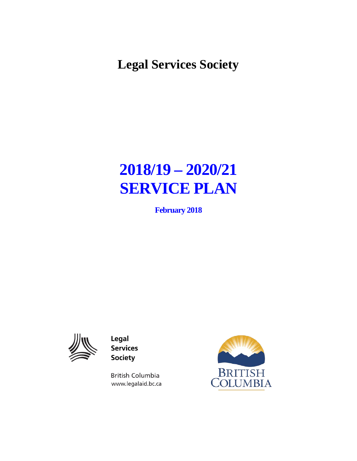**Legal Services Society** 

# **2018/19 – 2020/21 SERVICE PLAN**

**February 2018**



Legal **Services Society** 

**British Columbia** www.legalaid.bc.ca

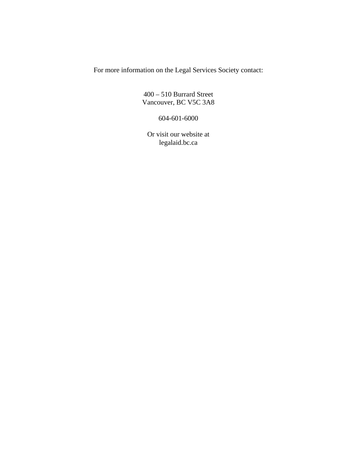For more information on the Legal Services Society contact:

400 – 510 Burrard Street Vancouver, BC V5C 3A8

604-601-6000

Or visit our website at legalaid.bc.ca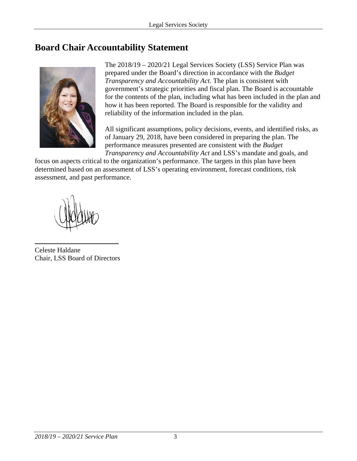# <span id="page-2-0"></span>**Board Chair Accountability Statement**



The 2018/19 – 2020/21 Legal Services Society (LSS) Service Plan was prepared under the Board's direction in accordance with the *Budget Transparency and Accountability Act*. The plan is consistent with government's strategic priorities and fiscal plan. The Board is accountable for the contents of the plan, including what has been included in the plan and how it has been reported. The Board is responsible for the validity and reliability of the information included in the plan.

All significant assumptions, policy decisions, events, and identified risks, as of January 29, 2018, have been considered in preparing the plan. The performance measures presented are consistent with the *Budget Transparency and Accountability Act* and LSS's mandate and goals, and

focus on aspects critical to the organization's performance. The targets in this plan have been determined based on an assessment of LSS's operating environment, forecast conditions, risk assessment, and past performance.

Celeste Haldane Chair, LSS Board of Directors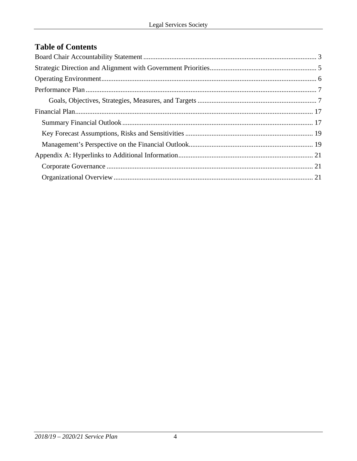# **Table of Contents**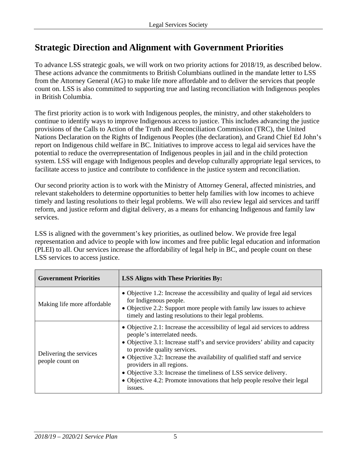# <span id="page-4-0"></span>**Strategic Direction and Alignment with Government Priorities**

To advance LSS strategic goals, we will work on two priority actions for 2018/19, as described below. These actions advance the commitments to British Columbians outlined in the mandate letter to LSS from the Attorney General (AG) to make life more affordable and to deliver the services that people count on. LSS is also committed to supporting true and lasting reconciliation with Indigenous peoples in British Columbia.

The first priority action is to work with Indigenous peoples, the ministry, and other stakeholders to continue to identify ways to improve Indigenous access to justice. This includes advancing the justice provisions of the Calls to Action of the Truth and Reconciliation Commission (TRC), the United Nations Declaration on the Rights of Indigenous Peoples (the declaration), and Grand Chief Ed John's report on Indigenous child welfare in BC. Initiatives to improve access to legal aid services have the potential to reduce the overrepresentation of Indigenous peoples in jail and in the child protection system. LSS will engage with Indigenous peoples and develop culturally appropriate legal services, to facilitate access to justice and contribute to confidence in the justice system and reconciliation.

Our second priority action is to work with the Ministry of Attorney General, affected ministries, and relevant stakeholders to determine opportunities to better help families with low incomes to achieve timely and lasting resolutions to their legal problems. We will also review legal aid services and tariff reform, and justice reform and digital delivery, as a means for enhancing Indigenous and family law services.

LSS is aligned with the government's key priorities, as outlined below. We provide free legal representation and advice to people with low incomes and free public legal education and information (PLEI) to all. Our services increase the affordability of legal help in BC, and people count on these LSS services to access justice.

| <b>Government Priorities</b>               | <b>LSS Aligns with These Priorities By:</b>                                                                                                                                                                                                                                                                                                                                                                                                                                                          |
|--------------------------------------------|------------------------------------------------------------------------------------------------------------------------------------------------------------------------------------------------------------------------------------------------------------------------------------------------------------------------------------------------------------------------------------------------------------------------------------------------------------------------------------------------------|
| Making life more affordable                | • Objective 1.2: Increase the accessibility and quality of legal aid services<br>for Indigenous people.<br>• Objective 2.2: Support more people with family law issues to achieve<br>timely and lasting resolutions to their legal problems.                                                                                                                                                                                                                                                         |
| Delivering the services<br>people count on | • Objective 2.1: Increase the accessibility of legal aid services to address<br>people's interrelated needs.<br>• Objective 3.1: Increase staff's and service providers' ability and capacity<br>to provide quality services.<br>• Objective 3.2: Increase the availability of qualified staff and service<br>providers in all regions.<br>• Objective 3.3: Increase the timeliness of LSS service delivery.<br>• Objective 4.2: Promote innovations that help people resolve their legal<br>issues. |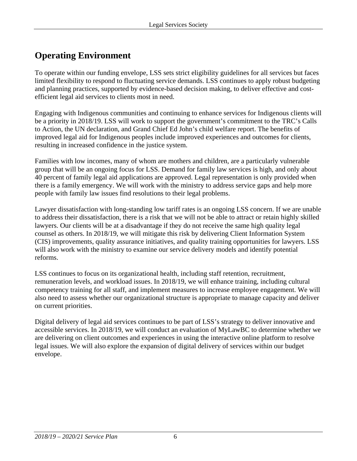# <span id="page-5-0"></span>**Operating Environment**

To operate within our funding envelope, LSS sets strict eligibility guidelines for all services but faces limited flexibility to respond to fluctuating service demands. LSS continues to apply robust budgeting and planning practices, supported by evidence-based decision making, to deliver effective and costefficient legal aid services to clients most in need.

Engaging with Indigenous communities and continuing to enhance services for Indigenous clients will be a priority in 2018/19. LSS will work to support the government's commitment to the TRC's Calls to Action, the UN declaration, and Grand Chief Ed John's child welfare report. The benefits of improved legal aid for Indigenous peoples include improved experiences and outcomes for clients, resulting in increased confidence in the justice system.

Families with low incomes, many of whom are mothers and children, are a particularly vulnerable group that will be an ongoing focus for LSS. Demand for family law services is high, and only about 40 percent of family legal aid applications are approved. Legal representation is only provided when there is a family emergency. We will work with the ministry to address service gaps and help more people with family law issues find resolutions to their legal problems.

Lawyer dissatisfaction with long-standing low tariff rates is an ongoing LSS concern. If we are unable to address their dissatisfaction, there is a risk that we will not be able to attract or retain highly skilled lawyers. Our clients will be at a disadvantage if they do not receive the same high quality legal counsel as others. In 2018/19, we will mitigate this risk by delivering Client Information System (CIS) improvements, quality assurance initiatives, and quality training opportunities for lawyers. LSS will also work with the ministry to examine our service delivery models and identify potential reforms.

LSS continues to focus on its organizational health, including staff retention, recruitment, remuneration levels, and workload issues. In 2018/19, we will enhance training, including cultural competency training for all staff, and implement measures to increase employee engagement. We will also need to assess whether our organizational structure is appropriate to manage capacity and deliver on current priorities.

Digital delivery of legal aid services continues to be part of LSS's strategy to deliver innovative and accessible services. In 2018/19, we will conduct an evaluation of MyLawBC to determine whether we are delivering on client outcomes and experiences in using the interactive online platform to resolve legal issues. We will also explore the expansion of digital delivery of services within our budget envelope.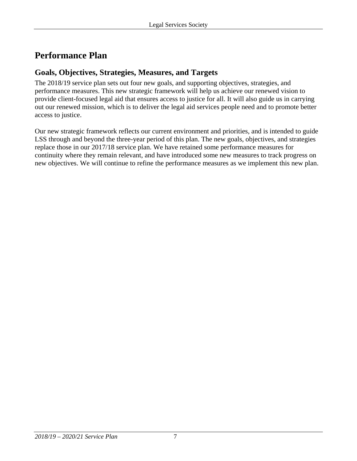# <span id="page-6-0"></span>**Performance Plan**

# <span id="page-6-1"></span>**Goals, Objectives, Strategies, Measures, and Targets**

The 2018/19 service plan sets out four new goals, and supporting objectives, strategies, and performance measures. This new strategic framework will help us achieve our renewed vision to provide client-focused legal aid that ensures access to justice for all. It will also guide us in carrying out our renewed mission, which is to deliver the legal aid services people need and to promote better access to justice.

Our new strategic framework reflects our current environment and priorities, and is intended to guide LSS through and beyond the three-year period of this plan. The new goals, objectives, and strategies replace those in our 2017/18 service plan. We have retained some performance measures for continuity where they remain relevant, and have introduced some new measures to track progress on new objectives. We will continue to refine the performance measures as we implement this new plan.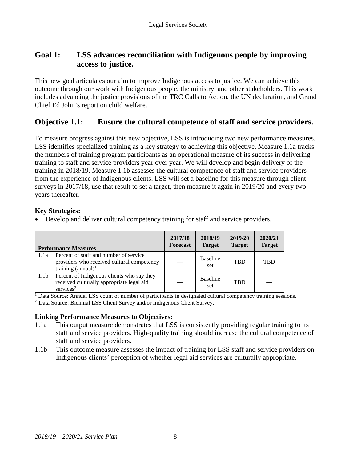## **Goal 1: LSS advances reconciliation with Indigenous people by improving access to justice.**

This new goal articulates our aim to improve Indigenous access to justice. We can achieve this outcome through our work with Indigenous people, the ministry, and other stakeholders. This work includes advancing the justice provisions of the TRC Calls to Action, the UN declaration, and Grand Chief Ed John's report on child welfare.

# **Objective 1.1: Ensure the cultural competence of staff and service providers.**

To measure progress against this new objective, LSS is introducing two new performance measures. LSS identifies specialized training as a key strategy to achieving this objective. Measure 1.1a tracks the numbers of training program participants as an operational measure of its success in delivering training to staff and service providers year over year. We will develop and begin delivery of the training in 2018/19. Measure 1.1b assesses the cultural competence of staff and service providers from the experience of Indigenous clients. LSS will set a baseline for this measure through client surveys in 2017/18, use that result to set a target, then measure it again in 2019/20 and every two years thereafter.

#### **Key Strategies:**

• Develop and deliver cultural competency training for staff and service providers.

|                  | <b>Performance Measures</b>                                                                                         | 2017/18<br><b>Forecast</b> | 2018/19<br><b>Target</b> | 2019/20<br><b>Target</b> | 2020/21<br><b>Target</b> |
|------------------|---------------------------------------------------------------------------------------------------------------------|----------------------------|--------------------------|--------------------------|--------------------------|
| 1.1a             | Percent of staff and number of service<br>providers who received cultural competency<br>training $(annual)^1$       |                            | <b>Baseline</b><br>set   | <b>TRD</b>               | <b>TBD</b>               |
| 1.1 <sub>b</sub> | Percent of Indigenous clients who say they<br>received culturally appropriate legal aid<br>$s$ ervices <sup>2</sup> |                            | <b>Baseline</b><br>set   | <b>TRD</b>               |                          |

<sup>1</sup> Data Source: Annual LSS count of number of participants in designated cultural competency training sessions.

2 Data Source: Biennial LSS Client Survey and/or Indigenous Client Survey.

- 1.1a This output measure demonstrates that LSS is consistently providing regular training to its staff and service providers. High-quality training should increase the cultural competence of staff and service providers.
- 1.1b This outcome measure assesses the impact of training for LSS staff and service providers on Indigenous clients' perception of whether legal aid services are culturally appropriate.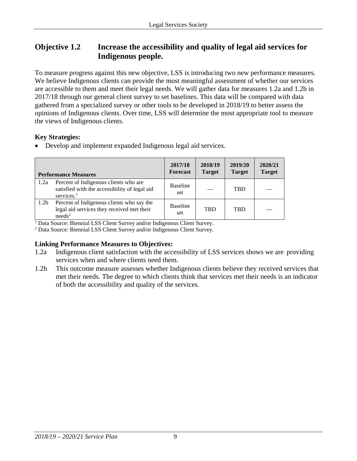# **Objective 1.2 Increase the accessibility and quality of legal aid services for Indigenous people.**

To measure progress against this new objective, LSS is introducing two new performance measures. We believe Indigenous clients can provide the most meaningful assessment of whether our services are accessible to them and meet their legal needs. We will gather data for measures 1.2a and 1.2b in 2017/18 through our general client survey to set baselines. This data will be compared with data gathered from a specialized survey or other tools to be developed in 2018/19 to better assess the opinions of Indigenous clients. Over time, LSS will determine the most appropriate tool to measure the views of Indigenous clients.

#### **Key Strategies:**

• Develop and implement expanded Indigenous legal aid services.

|                  | <b>Performance Measures</b>                                                                                      | 2017/18<br><b>Forecast</b> | 2018/19<br><b>Target</b> | 2019/20<br><b>Target</b> | 2020/21<br><b>Target</b> |
|------------------|------------------------------------------------------------------------------------------------------------------|----------------------------|--------------------------|--------------------------|--------------------------|
| 1.2a             | Percent of Indigenous clients who are<br>satisfied with the accessibility of legal aid<br>services. <sup>1</sup> | <b>Baseline</b><br>set     |                          | <b>TBD</b>               |                          |
| 1.2 <sub>b</sub> | Percent of Indigenous clients who say the<br>legal aid services they received met their<br>needs <sup>2</sup>    | <b>Baseline</b><br>set     | <b>TBD</b>               | <b>TRD</b>               |                          |

<sup>1</sup> Data Source: Biennial LSS Client Survey and/or Indigenous Client Survey.

<sup>2</sup> Data Source: Biennial LSS Client Survey and/or Indigenous Client Survey.

- 1.2a Indigenous client satisfaction with the accessibility of LSS services shows we are providing services when and where clients need them.
- 1.2b This outcome measure assesses whether Indigenous clients believe they received services that met their needs. The degree to which clients think that services met their needs is an indicator of both the accessibility and quality of the services.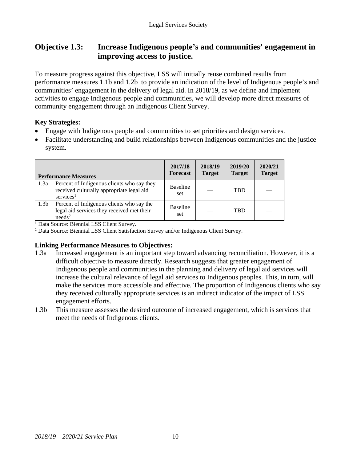# **Objective 1.3: Increase Indigenous people's and communities' engagement in improving access to justice.**

To measure progress against this objective, LSS will initially reuse combined results from performance measures 1.1b and 1.2b to provide an indication of the level of Indigenous people's and communities' engagement in the delivery of legal aid. In 2018/19, as we define and implement activities to engage Indigenous people and communities, we will develop more direct measures of community engagement through an Indigenous Client Survey.

#### **Key Strategies:**

- Engage with Indigenous people and communities to set priorities and design services.
- Facilitate understanding and build relationships between Indigenous communities and the justice system.

|                  | <b>Performance Measures</b>                                                                                         | 2017/18<br><b>Forecast</b> | 2018/19<br><b>Target</b> | 2019/20<br><b>Target</b> | 2020/21<br><b>Target</b> |
|------------------|---------------------------------------------------------------------------------------------------------------------|----------------------------|--------------------------|--------------------------|--------------------------|
| 1.3a             | Percent of Indigenous clients who say they<br>received culturally appropriate legal aid<br>$s$ ervices <sup>1</sup> | <b>Baseline</b><br>set     |                          | <b>TBD</b>               |                          |
| 1.3 <sub>b</sub> | Percent of Indigenous clients who say the<br>legal aid services they received met their<br>needs <sup>2</sup>       | <b>Baseline</b><br>set     |                          | <b>TBD</b>               |                          |

<sup>1</sup> Data Source: Biennial LSS Client Survey.

<sup>2</sup> Data Source: Biennial LSS Client Satisfaction Survey and/or Indigenous Client Survey.

- 1.3a Increased engagement is an important step toward advancing reconciliation. However, it is a difficult objective to measure directly. Research suggests that greater engagement of Indigenous people and communities in the planning and delivery of legal aid services will increase the cultural relevance of legal aid services to Indigenous peoples. This, in turn, will make the services more accessible and effective. The proportion of Indigenous clients who say they received culturally appropriate services is an indirect indicator of the impact of LSS engagement efforts.
- 1.3b This measure assesses the desired outcome of increased engagement, which is services that meet the needs of Indigenous clients.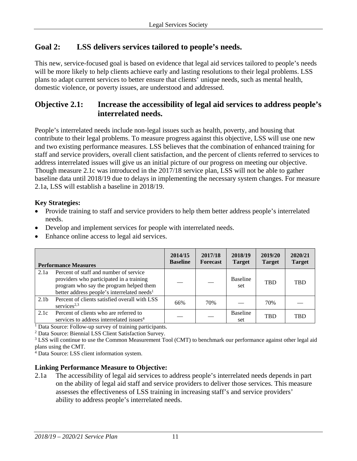# **Goal 2: LSS delivers services tailored to people's needs.**

This new, service-focused goal is based on evidence that legal aid services tailored to people's needs will be more likely to help clients achieve early and lasting resolutions to their legal problems. LSS plans to adapt current services to better ensure that clients' unique needs, such as mental health, domestic violence, or poverty issues, are understood and addressed.

### **Objective 2.1: Increase the accessibility of legal aid services to address people's interrelated needs.**

People's interrelated needs include non-legal issues such as health, poverty, and housing that contribute to their legal problems. To measure progress against this objective, LSS will use one new and two existing performance measures. LSS believes that the combination of enhanced training for staff and service providers, overall client satisfaction, and the percent of clients referred to services to address interrelated issues will give us an initial picture of our progress on meeting our objective. Though measure 2.1c was introduced in the 2017/18 service plan, LSS will not be able to gather baseline data until 2018/19 due to delays in implementing the necessary system changes. For measure 2.1a, LSS will establish a baseline in 2018/19.

#### **Key Strategies:**

- Provide training to staff and service providers to help them better address people's interrelated needs.
- Develop and implement services for people with interrelated needs.
- Enhance online access to legal aid services.

|                  | <b>Performance Measures</b>                                                                                                                                                              | 2014/15<br><b>Baseline</b> | 2017/18<br><b>Forecast</b> | 2018/19<br><b>Target</b> | 2019/20<br><b>Target</b> | 2020/21<br><b>Target</b> |
|------------------|------------------------------------------------------------------------------------------------------------------------------------------------------------------------------------------|----------------------------|----------------------------|--------------------------|--------------------------|--------------------------|
| 2.1a             | Percent of staff and number of service<br>providers who participated in a training<br>program who say the program helped them<br>better address people's interrelated needs <sup>1</sup> |                            |                            | <b>Baseline</b><br>set   | <b>TBD</b>               | <b>TRD</b>               |
| 2.1 <sub>b</sub> | Percent of clients satisfied overall with LSS<br>services <sup>2,3</sup>                                                                                                                 | 66%                        | 70%                        |                          | 70%                      |                          |
| 2.1c             | Percent of clients who are referred to<br>services to address interrelated issues <sup>4</sup>                                                                                           |                            |                            | <b>Baseline</b><br>set   | <b>TBD</b>               | <b>TRD</b>               |

<sup>1</sup> Data Source: Follow-up survey of training participants.

<sup>2</sup> Data Source: Biennial LSS Client Satisfaction Survey.

<sup>3</sup> LSS will continue to use the Common Measurement Tool (CMT) to benchmark our performance against other legal aid plans using the CMT.

<sup>4</sup> Data Source: LSS client information system.

#### **Linking Performance Measure to Objective:**

2.1a The accessibility of legal aid services to address people's interrelated needs depends in part on the ability of legal aid staff and service providers to deliver those services. This measure assesses the effectiveness of LSS training in increasing staff's and service providers' ability to address people's interrelated needs.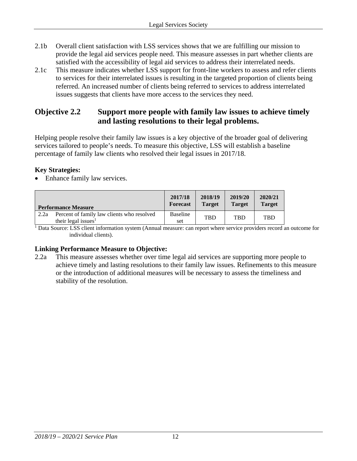- 2.1b Overall client satisfaction with LSS services shows that we are fulfilling our mission to provide the legal aid services people need. This measure assesses in part whether clients are satisfied with the accessibility of legal aid services to address their interrelated needs.
- 2.1c This measure indicates whether LSS support for front-line workers to assess and refer clients to services for their interrelated issues is resulting in the targeted proportion of clients being referred. An increased number of clients being referred to services to address interrelated issues suggests that clients have more access to the services they need.

### **Objective 2.2 Support more people with family law issues to achieve timely and lasting resolutions to their legal problems.**

Helping people resolve their family law issues is a key objective of the broader goal of delivering services tailored to people's needs. To measure this objective, LSS will establish a baseline percentage of family law clients who resolved their legal issues in 2017/18.

#### **Key Strategies:**

• Enhance family law services.

|      | <b>Performance Measure</b>                                                    | 2017/18<br><b>Forecast</b> | 2018/19<br><b>Target</b> | 2019/20<br><b>Target</b> | 2020/21<br><b>Target</b> |
|------|-------------------------------------------------------------------------------|----------------------------|--------------------------|--------------------------|--------------------------|
| 2.2a | Percent of family law clients who resolved<br>their legal issues <sup>1</sup> | <b>Baseline</b><br>set     | <b>TBD</b>               | TBD                      | TBD                      |

<sup>1</sup> Data Source: LSS client information system (Annual measure: can report where service providers record an outcome for individual clients).

#### **Linking Performance Measure to Objective:**

2.2a This measure assesses whether over time legal aid services are supporting more people to achieve timely and lasting resolutions to their family law issues. Refinements to this measure or the introduction of additional measures will be necessary to assess the timeliness and stability of the resolution.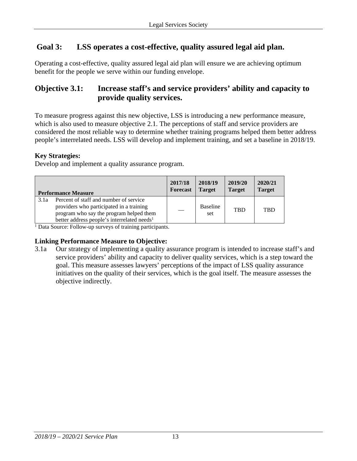# **Goal 3: LSS operates a cost-effective, quality assured legal aid plan.**

Operating a cost-effective, quality assured legal aid plan will ensure we are achieving optimum benefit for the people we serve within our funding envelope.

# **Objective 3.1: Increase staff's and service providers' ability and capacity to provide quality services.**

To measure progress against this new objective, LSS is introducing a new performance measure, which is also used to measure objective 2.1. The perceptions of staff and service providers are considered the most reliable way to determine whether training programs helped them better address people's interrelated needs. LSS will develop and implement training, and set a baseline in 2018/19.

#### **Key Strategies:**

Develop and implement a quality assurance program.

|      | <b>Performance Measure</b>                                                                                                                                                               | 2017/18<br><b>Forecast</b> | 2018/19<br><b>Target</b> | 2019/20<br><b>Target</b> | 2020/21<br><b>Target</b> |
|------|------------------------------------------------------------------------------------------------------------------------------------------------------------------------------------------|----------------------------|--------------------------|--------------------------|--------------------------|
| 3.1a | Percent of staff and number of service<br>providers who participated in a training<br>program who say the program helped them<br>better address people's interrelated needs <sup>1</sup> |                            | <b>Baseline</b><br>set   | <b>TBD</b>               | <b>TRD</b>               |

<sup>1</sup> Data Source: Follow-up surveys of training participants.

#### **Linking Performance Measure to Objective:**

3.1a Our strategy of implementing a quality assurance program is intended to increase staff's and service providers' ability and capacity to deliver quality services, which is a step toward the goal. This measure assesses lawyers' perceptions of the impact of LSS quality assurance initiatives on the quality of their services, which is the goal itself. The measure assesses the objective indirectly.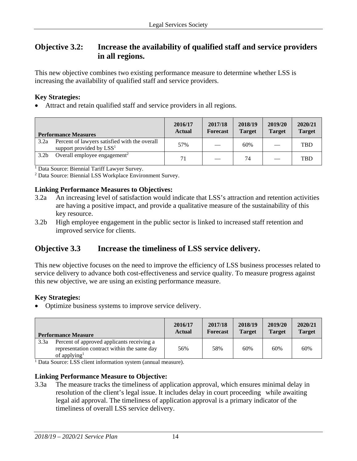# **Objective 3.2: Increase the availability of qualified staff and service providers in all regions.**

This new objective combines two existing performance measure to determine whether LSS is increasing the availability of qualified staff and service providers.

#### **Key Strategies:**

• Attract and retain qualified staff and service providers in all regions.

|                  | <b>Performance Measures</b>                                                 | 2016/17<br><b>Actual</b> | 2017/18<br>Forecast | 2018/19<br><b>Target</b> | 2019/20<br><b>Target</b> | 2020/21<br><b>Target</b> |
|------------------|-----------------------------------------------------------------------------|--------------------------|---------------------|--------------------------|--------------------------|--------------------------|
| 3.2a             | Percent of lawyers satisfied with the overall<br>support provided by $LSS1$ | 57%                      |                     | 60%                      |                          | <b>TBD</b>               |
| 3.2 <sub>b</sub> | Overall employee engagement <sup>2</sup>                                    | 71                       |                     | 74                       |                          | <b>TBD</b>               |

<sup>1</sup> Data Source: Biennial Tariff Lawyer Survey.

<sup>2</sup> Data Source: Biennial LSS Workplace Environment Survey.

#### **Linking Performance Measures to Objectives:**

- 3.2a An increasing level of satisfaction would indicate that LSS's attraction and retention activities are having a positive impact, and provide a qualitative measure of the sustainability of this key resource.
- 3.2b High employee engagement in the public sector is linked to increased staff retention and improved service for clients.

# **Objective 3.3 Increase the timeliness of LSS service delivery.**

This new objective focuses on the need to improve the efficiency of LSS business processes related to service delivery to advance both cost-effectiveness and service quality. To measure progress against this new objective, we are using an existing performance measure.

#### **Key Strategies:**

• Optimize business systems to improve service delivery.

| <b>Performance Measure</b> |                                                                                                                       | 2016/17       | 2017/18         | 2018/19       | 2019/20       | 2020/21       |
|----------------------------|-----------------------------------------------------------------------------------------------------------------------|---------------|-----------------|---------------|---------------|---------------|
|                            |                                                                                                                       | <b>Actual</b> | <b>Forecast</b> | <b>Target</b> | <b>Target</b> | <b>Target</b> |
| 3.3a                       | Percent of approved applicants receiving a<br>representation contract within the same day<br>of applying <sup>1</sup> | 56%           | 58%             | 60%           | 60%           | 60%           |

<sup>1</sup> Data Source: LSS client information system (annual measure).

#### **Linking Performance Measure to Objective:**

3.3a The measure tracks the timeliness of application approval, which ensures minimal delay in resolution of the client's legal issue. It includes delay in court proceeding while awaiting legal aid approval. The timeliness of application approval is a primary indicator of the timeliness of overall LSS service delivery.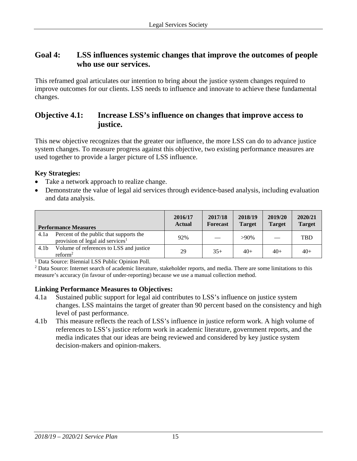### **Goal 4: LSS influences systemic changes that improve the outcomes of people who use our services.**

This reframed goal articulates our intention to bring about the justice system changes required to improve outcomes for our clients. LSS needs to influence and innovate to achieve these fundamental changes.

### **Objective 4.1: Increase LSS's influence on changes that improve access to justice.**

This new objective recognizes that the greater our influence, the more LSS can do to advance justice system changes. To measure progress against this objective, two existing performance measures are used together to provide a larger picture of LSS influence.

#### **Key Strategies:**

- Take a network approach to realize change.
- Demonstrate the value of legal aid services through evidence-based analysis, including evaluation and data analysis.

|                  | <b>Performance Measures</b>                                                             | 2016/17<br><b>Actual</b> | 2017/18<br><b>Forecast</b> | 2018/19<br><b>Target</b> | 2019/20<br><b>Target</b> | 2020/21<br><b>Target</b> |
|------------------|-----------------------------------------------------------------------------------------|--------------------------|----------------------------|--------------------------|--------------------------|--------------------------|
| 4.1a             | Percent of the public that supports the<br>provision of legal aid services <sup>1</sup> | 92%                      |                            | $>90\%$                  |                          | <b>TBD</b>               |
| 4.1 <sub>b</sub> | Volume of references to LSS and justice<br>reform <sup>2</sup>                          | 29                       | $35+$                      | $40+$                    | $40+$                    | $40+$                    |

<sup>1</sup> Data Source: Biennial LSS Public Opinion Poll.

<sup>2</sup> Data Source: Internet search of academic literature, stakeholder reports, and media. There are some limitations to this measure's accuracy (in favour of under-reporting) because we use a manual collection method.

- 4.1a Sustained public support for legal aid contributes to LSS's influence on justice system changes. LSS maintains the target of greater than 90 percent based on the consistency and high level of past performance.
- 4.1b This measure reflects the reach of LSS's influence in justice reform work. A high volume of references to LSS's justice reform work in academic literature, government reports, and the media indicates that our ideas are being reviewed and considered by key justice system decision-makers and opinion-makers.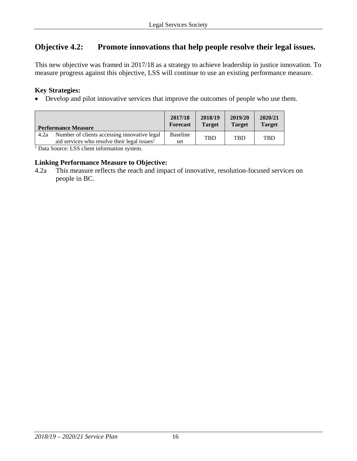# **Objective 4.2: Promote innovations that help people resolve their legal issues.**

This new objective was framed in 2017/18 as a strategy to achieve leadership in justice innovation. To measure progress against this objective, LSS will continue to use an existing performance measure.

#### **Key Strategies:**

• Develop and pilot innovative services that improve the outcomes of people who use them.

| Number of clients accessing innovative legal<br>Baseline<br>4.2a<br><b>TBD</b><br><b>TBD</b><br><b>TBD</b><br>aid services who resolve their legal issues <sup>1</sup><br>set | <b>Performance Measure</b> | 2017/18<br><b>Forecast</b> | 2018/19<br><b>Target</b> | 2019/20<br><b>Target</b> | 2020/21<br><b>Target</b> |
|-------------------------------------------------------------------------------------------------------------------------------------------------------------------------------|----------------------------|----------------------------|--------------------------|--------------------------|--------------------------|
|                                                                                                                                                                               |                            |                            |                          |                          |                          |

<sup>1</sup> Data Source: LSS client information system.

#### **Linking Performance Measure to Objective:**

4.2a This measure reflects the reach and impact of innovative, resolution-focused services on people in BC.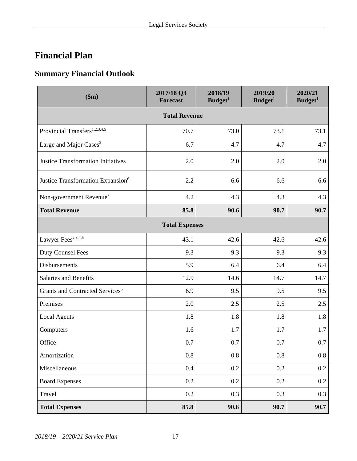# <span id="page-16-0"></span>**Financial Plan**

# <span id="page-16-1"></span>**Summary Financial Outlook**

| \$m\$                                         | 2017/18 Q3<br><b>Forecast</b> | 2018/19<br>Budget <sup>1</sup> | 2019/20<br>Budge <sup>1</sup> | 2020/21<br>Budget <sup>1</sup> |  |  |
|-----------------------------------------------|-------------------------------|--------------------------------|-------------------------------|--------------------------------|--|--|
| <b>Total Revenue</b>                          |                               |                                |                               |                                |  |  |
| Provincial Transfers <sup>1,2,3,4,5</sup>     | 70.7                          | 73.0                           | 73.1                          | 73.1                           |  |  |
| Large and Major Cases <sup>2</sup>            | 6.7                           | 4.7                            | 4.7                           | 4.7                            |  |  |
| <b>Justice Transformation Initiatives</b>     | 2.0                           | 2.0                            | 2.0                           | 2.0                            |  |  |
| Justice Transformation Expansion <sup>6</sup> | 2.2                           | 6.6                            | 6.6                           | 6.6                            |  |  |
| Non-government Revenue <sup>7</sup>           | 4.2                           | 4.3                            | 4.3                           | 4.3                            |  |  |
| <b>Total Revenue</b>                          | 85.8                          | 90.6                           | 90.7                          | 90.7                           |  |  |
| <b>Total Expenses</b>                         |                               |                                |                               |                                |  |  |
| Lawyer Fees <sup>2,3,4,5</sup>                | 43.1                          | 42.6                           | 42.6                          | 42.6                           |  |  |
| <b>Duty Counsel Fees</b>                      | 9.3                           | 9.3                            | 9.3                           | 9.3                            |  |  |
| Disbursements                                 | 5.9                           | 6.4                            | 6.4                           | 6.4                            |  |  |
| Salaries and Benefits                         | 12.9                          | 14.6                           | 14.7                          | 14.7                           |  |  |
| Grants and Contracted Services <sup>5</sup>   | 6.9                           | 9.5                            | 9.5                           | 9.5                            |  |  |
| Premises                                      | 2.0                           | 2.5                            | 2.5                           | 2.5                            |  |  |
| <b>Local Agents</b>                           | 1.8                           | 1.8                            | 1.8                           | 1.8                            |  |  |
| Computers                                     | 1.6                           | 1.7                            | 1.7                           | 1.7                            |  |  |
| Office                                        | 0.7                           | 0.7                            | 0.7                           | 0.7                            |  |  |
| Amortization                                  | 0.8                           | 0.8                            | 0.8                           | 0.8                            |  |  |
| Miscellaneous                                 | $0.4\,$                       | 0.2                            | 0.2                           | 0.2                            |  |  |
| <b>Board Expenses</b>                         | 0.2                           | 0.2                            | 0.2                           | $0.2\,$                        |  |  |
| Travel                                        | 0.2                           | 0.3                            | 0.3                           | 0.3                            |  |  |
| <b>Total Expenses</b>                         | 85.8                          | 90.6                           | 90.7                          | 90.7                           |  |  |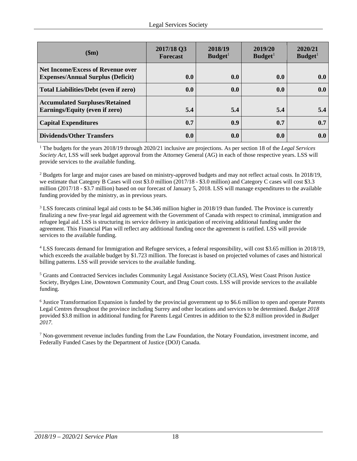| \$m\$                                                                                | 2017/18 Q3<br><b>Forecast</b> | 2018/19<br>Budget <sup>1</sup> | 2019/20<br>Budget <sup>1</sup> | 2020/21<br>Budget <sup>1</sup> |
|--------------------------------------------------------------------------------------|-------------------------------|--------------------------------|--------------------------------|--------------------------------|
| <b>Net Income/Excess of Revenue over</b><br><b>Expenses/Annual Surplus (Deficit)</b> | 0.0                           | 0.0                            | 0.0                            | 0.0                            |
| <b>Total Liabilities/Debt (even if zero)</b>                                         | 0.0                           | 0.0                            | 0.0                            | 0.0                            |
| <b>Accumulated Surpluses/Retained</b><br>Earnings/Equity (even if zero)              | 5.4                           | 5.4                            | 5.4                            | 5.4                            |
| <b>Capital Expenditures</b>                                                          | 0.7                           | 0.9                            | 0.7                            | 0.7                            |
| <b>Dividends/Other Transfers</b>                                                     | 0.0                           | 0.0                            | 0.0                            | 0.0                            |

<sup>1</sup> The budgets for the years 2018/19 through 2020/21 inclusive are projections. As per section 18 of the *Legal Services Society Act*, LSS will seek budget approval from the Attorney General (AG) in each of those respective years. LSS will provide services to the available funding.

 $2$  Budgets for large and major cases are based on ministry-approved budgets and may not reflect actual costs. In 2018/19, we estimate that Category B Cases will cost \$3.0 million (2017/18 - \$3.0 million) and Category C cases will cost \$3.3 million (2017/18 - \$3.7 million) based on our forecast of January 5, 2018. LSS will manage expenditures to the available funding provided by the ministry, as in previous years.

<sup>3</sup> LSS forecasts criminal legal aid costs to be \$4.346 million higher in 2018/19 than funded. The Province is currently finalizing a new five-year legal aid agreement with the Government of Canada with respect to criminal, immigration and refugee legal aid. LSS is structuring its service delivery in anticipation of receiving additional funding under the agreement. This Financial Plan will reflect any additional funding once the agreement is ratified. LSS will provide services to the available funding.

<sup>4</sup> LSS forecasts demand for Immigration and Refugee services, a federal responsibility, will cost \$3.65 million in 2018/19, which exceeds the available budget by \$1.723 million. The forecast is based on projected volumes of cases and historical billing patterns. LSS will provide services to the available funding.

<sup>5</sup> Grants and Contracted Services includes Community Legal Assistance Society (CLAS), West Coast Prison Justice Society, Brydges Line, Downtown Community Court, and Drug Court costs. LSS will provide services to the available funding.

<sup>6</sup> Justice Transformation Expansion is funded by the provincial government up to \$6.6 million to open and operate Parents Legal Centres throughout the province including Surrey and other locations and services to be determined. *Budget 2018*  provided \$3.8 million in additional funding for Parents Legal Centres in addition to the \$2.8 million provided in *Budget 2017.*

 $<sup>7</sup>$  Non-government revenue includes funding from the Law Foundation, the Notary Foundation, investment income, and</sup> Federally Funded Cases by the Department of Justice (DOJ) Canada.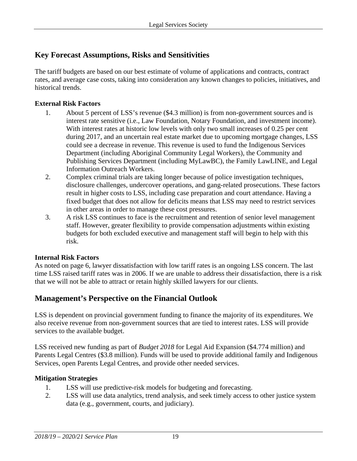# <span id="page-18-0"></span>**Key Forecast Assumptions, Risks and Sensitivities**

The tariff budgets are based on our best estimate of volume of applications and contracts, contract rates, and average case costs, taking into consideration any known changes to policies, initiatives, and historical trends.

#### **External Risk Factors**

- 1. About 5 percent of LSS's revenue (\$4.3 million) is from non-government sources and is interest rate sensitive (i.e., Law Foundation, Notary Foundation, and investment income). With interest rates at historic low levels with only two small increases of 0.25 per cent during 2017, and an uncertain real estate market due to upcoming mortgage changes, LSS could see a decrease in revenue. This revenue is used to fund the Indigenous Services Department (including Aboriginal Community Legal Workers), the Community and Publishing Services Department (including MyLawBC), the Family LawLINE, and Legal Information Outreach Workers.
- 2. Complex criminal trials are taking longer because of police investigation techniques, disclosure challenges, undercover operations, and gang-related prosecutions. These factors result in higher costs to LSS, including case preparation and court attendance. Having a fixed budget that does not allow for deficits means that LSS may need to restrict services in other areas in order to manage these cost pressures.
- 3. A risk LSS continues to face is the recruitment and retention of senior level management staff. However, greater flexibility to provide compensation adjustments within existing budgets for both excluded executive and management staff will begin to help with this risk.

#### **Internal Risk Factors**

As noted on page 6, lawyer dissatisfaction with low tariff rates is an ongoing LSS concern. The last time LSS raised tariff rates was in 2006. If we are unable to address their dissatisfaction, there is a risk that we will not be able to attract or retain highly skilled lawyers for our clients.

# <span id="page-18-1"></span>**Management's Perspective on the Financial Outlook**

LSS is dependent on provincial government funding to finance the majority of its expenditures. We also receive revenue from non-government sources that are tied to interest rates. LSS will provide services to the available budget.

LSS received new funding as part of *Budget 2018* for Legal Aid Expansion (\$4.774 million) and Parents Legal Centres (\$3.8 million). Funds will be used to provide additional family and Indigenous Services, open Parents Legal Centres, and provide other needed services.

#### **Mitigation Strategies**

- 1. LSS will use predictive-risk models for budgeting and forecasting.
- 2. LSS will use data analytics, trend analysis, and seek timely access to other justice system data (e.g., government, courts, and judiciary).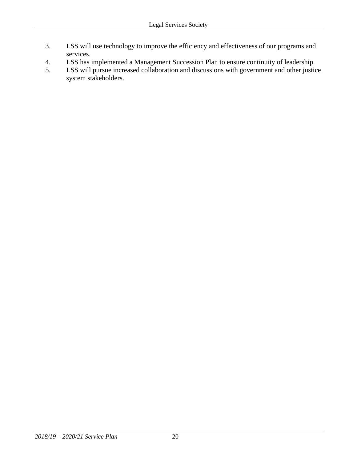- 3. LSS will use technology to improve the efficiency and effectiveness of our programs and services.
- 4. LSS has implemented a Management Succession Plan to ensure continuity of leadership.
- 5. LSS will pursue increased collaboration and discussions with government and other justice system stakeholders.